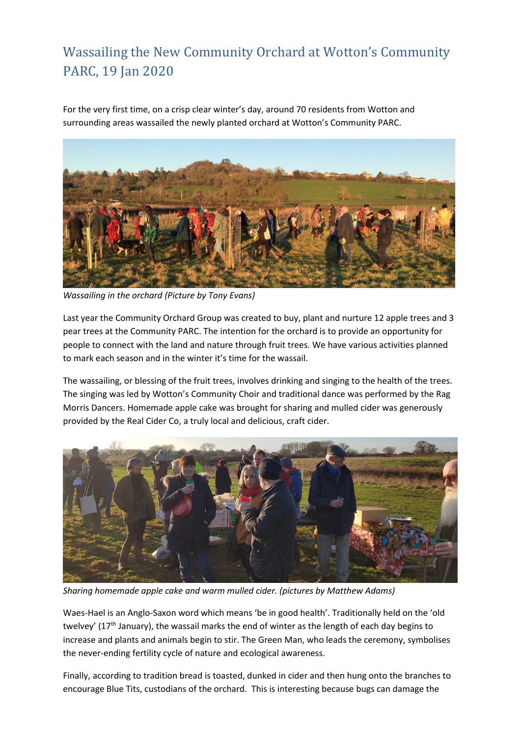## Wassailing the New Community Orchard at Wotton's Community PARC, 19 Jan 2020

For the very first time, on a crisp clear winter's day, around 70 residents from Wotton and surrounding areas wassailed the newly planted orchard at Wotton's Community PARC.



*Wassailing in the orchard (Picture by Tony Evans)*

Last year the Community Orchard Group was created to buy, plant and nurture 12 apple trees and 3 pear trees at the Community PARC. The intention for the orchard is to provide an opportunity for people to connect with the land and nature through fruit trees. We have various activities planned to mark each season and in the winter it's time for the wassail.

The wassailing, or blessing of the fruit trees, involves drinking and singing to the health of the trees. The singing was led by Wotton's Community Choir and traditional dance was performed by the Rag Morris Dancers. Homemade apple cake was brought for sharing and mulled cider was generously provided by the Real Cider Co, a truly local and delicious, craft cider.



*Sharing homemade apple cake and warm mulled cider. (pictures by Matthew Adams)*

Waes-Hael is an Anglo-Saxon word which means 'be in good health'. Traditionally held on the 'old twelvey' (17<sup>th</sup> January), the wassail marks the end of winter as the length of each day begins to increase and plants and animals begin to stir. The Green Man, who leads the ceremony, symbolises the never-ending fertility cycle of nature and ecological awareness.

Finally, according to tradition bread is toasted, dunked in cider and then hung onto the branches to encourage Blue Tits, custodians of the orchard. This is interesting because bugs can damage the